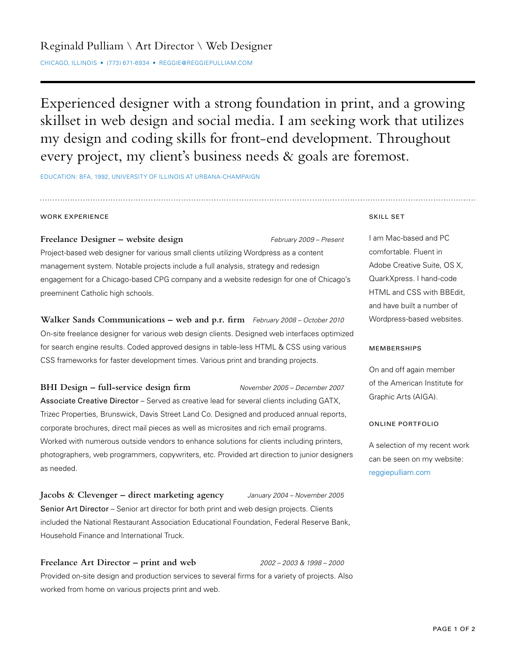Experienced designer with a strong foundation in print, and a growing skillset in web design and social media. I am seeking work that utilizes my design and coding skills for front-end development. Throughout every project, my client's business needs & goals are foremost.

EDUCATION: BFA, 1992, UNIVERSITY OF ILLINOIS AT URBANA-CHAMPAIGN

### WORK EXPERIENCE

**Freelance Designer – website design** *February 2009 – Present* Project-based web designer for various small clients utilizing Wordpress as a content management system. Notable projects include a full analysis, strategy and redesign engagement for a Chicago-based CPG company and a website redesign for one of Chicago's preeminent Catholic high schools.

**Walker Sands Communications – web and p.r. firm** *February 2008 – October 2010* On-site freelance designer for various web design clients. Designed web interfaces optimized for search engine results. Coded approved designs in table-less HTML & CSS using various CSS frameworks for faster development times. Various print and branding projects.

**BHI Design – full-service design firm** *November 2005 – December 2007* Associate Creative Director – Served as creative lead for several clients including GATX, Trizec Properties, Brunswick, Davis Street Land Co. Designed and produced annual reports, corporate brochures, direct mail pieces as well as microsites and rich email programs. Worked with numerous outside vendors to enhance solutions for clients including printers, photographers, web programmers, copywriters, etc. Provided art direction to junior designers as needed.

**Jacobs & Clevenger – direct marketing agency** *January 2004 – November 2005* Senior Art Director – Senior art director for both print and web design projects. Clients included the National Restaurant Association Educational Foundation, Federal Reserve Bank, Household Finance and International Truck.

**Freelance Art Director – print and web** *2002 – 2003 & 1998 – 2000* Provided on-site design and production services to several firms for a variety of projects. Also worked from home on various projects print and web.

#### SKILL SET

I am Mac-based and PC comfortable. Fluent in Adobe Creative Suite, OS X, QuarkXpress. I hand-code HTML and CSS with BBEdit, and have built a number of Wordpress-based websites.

### MEMBERSHIPS

On and off again member of the American Institute for Graphic Arts (AIGA).

### ONLINE PORTFOLIO

A selection of my recent work can be seen on my website: reggiepulliam.com